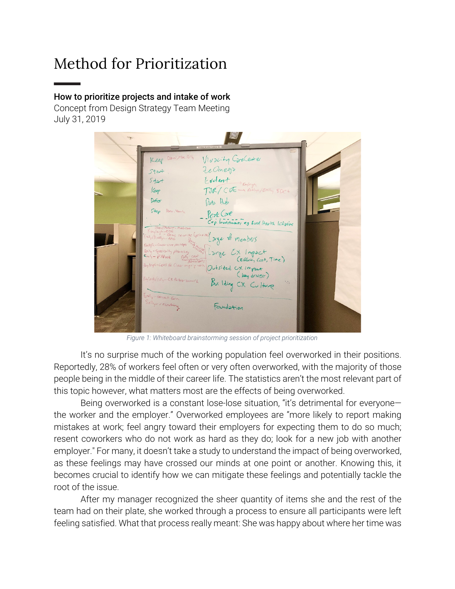# Method for Prioritization

#### How to prioritize projects and intake of work

Concept from Design Strategy Team Meeting July 31, 2019

| $\mathcal{L}_{\mathcal{D}}$ | Property of the Voice of Customer Fears                                                                                                                                               |  |
|-----------------------------|---------------------------------------------------------------------------------------------------------------------------------------------------------------------------------------|--|
|                             | Keep Darci, Mer, Selly<br>Vivacity Carelenter<br>Ze Onego                                                                                                                             |  |
|                             | $5 + 84$<br>Evolent Byloigh<br>$5 + 2 +$<br>TJR/CDE - Billyn/Emily 80C+<br>Keep                                                                                                       |  |
|                             | Defor<br>Data Hub<br>Stop Dri, Venile                                                                                                                                                 |  |
|                             | Perk Care<br>Cap. Invertiments eg Ruel Health Initiative<br>DacilMotonic - Medicane<br>Kayleigh-EOG                                                                                   |  |
|                             | Fayleyhered reunie (printing)<br>Etail (Estimon-Ang reunie (printing) arge # members<br>Kuylegh - Carel-care parliages<br>Early-Specially phonesey                                    |  |
|                             | Think Large EX Impact<br>can't Large EX Impact<br>$\epsilon_{\text{rel}} - \rho \ln \rho_{\text{ack}}$ $\Omega_{\text{cond}}$<br>Keylegh-Lets be Clear orgo & work Outsited CX impect |  |
|                             | ( key driver)<br>Kaylash (SHy - CX Pertre served L<br>Building CX Culture<br>$\gamma_{\rm cr}$                                                                                        |  |
|                             | Envly-consent form<br>Foundation                                                                                                                                                      |  |
|                             |                                                                                                                                                                                       |  |

*Figure 1: Whiteboard brainstorming session of project prioritization*

It's no surprise much of the working population feel overworked in their positions. Reportedly, 28% of workers feel often or very often overworked, with the majority of those people being in the middle of their career life. The statistics aren't the most relevant part of this topic however, what matters most are the effects of being overworked.

Being overworked is a constant lose-lose situation, "it's detrimental for everyone the worker and the employer." Overworked employees are "more likely to report making mistakes at work; feel angry toward their employers for expecting them to do so much; resent coworkers who do not work as hard as they do; look for a new job with another employer." For many, it doesn't take a study to understand the impact of being overworked, as these feelings may have crossed our minds at one point or another. Knowing this, it becomes crucial to identify how we can mitigate these feelings and potentially tackle the root of the issue.

After my manager recognized the sheer quantity of items she and the rest of the team had on their plate, she worked through a process to ensure all participants were left feeling satisfied. What that process really meant: She was happy about where her time was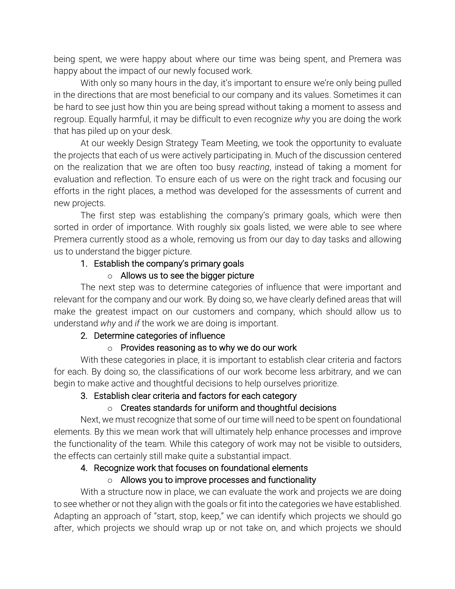being spent, we were happy about where our time was being spent, and Premera was happy about the impact of our newly focused work.

With only so many hours in the day, it's important to ensure we're only being pulled in the directions that are most beneficial to our company and its values. Sometimes it can be hard to see just how thin you are being spread without taking a moment to assess and regroup. Equally harmful, it may be difficult to even recognize *why* you are doing the work that has piled up on your desk.

At our weekly Design Strategy Team Meeting, we took the opportunity to evaluate the projects that each of us were actively participating in. Much of the discussion centered on the realization that we are often too busy *reacting*, instead of taking a moment for evaluation and reflection. To ensure each of us were on the right track and focusing our efforts in the right places, a method was developed for the assessments of current and new projects.

The first step was establishing the company's primary goals, which were then sorted in order of importance. With roughly six goals listed, we were able to see where Premera currently stood as a whole, removing us from our day to day tasks and allowing us to understand the bigger picture.

#### 1. Establish the company's primary goals

## $\circ$  Allows us to see the bigger picture

The next step was to determine categories of influence that were important and relevant for the company and our work. By doing so, we have clearly defined areas that will make the greatest impact on our customers and company, which should allow us to understand *why* and *if* the work we are doing is important.

## 2. Determine categories of influence

## $\circ$  Provides reasoning as to why we do our work

With these categories in place, it is important to establish clear criteria and factors for each. By doing so, the classifications of our work become less arbitrary, and we can begin to make active and thoughtful decisions to help ourselves prioritize.

## 3. Establish clear criteria and factors for each category

## o Creates standards for uniform and thoughtful decisions

Next, we must recognize that some of our time will need to be spent on foundational elements. By this we mean work that will ultimately help enhance processes and improve the functionality of the team. While this category of work may not be visible to outsiders, the effects can certainly still make quite a substantial impact.

## 4. Recognize work that focuses on foundational elements

## o Allows you to improve processes and functionality

With a structure now in place, we can evaluate the work and projects we are doing to see whether or not they align with the goals or fit into the categories we have established. Adapting an approach of "start, stop, keep," we can identify which projects we should go after, which projects we should wrap up or not take on, and which projects we should